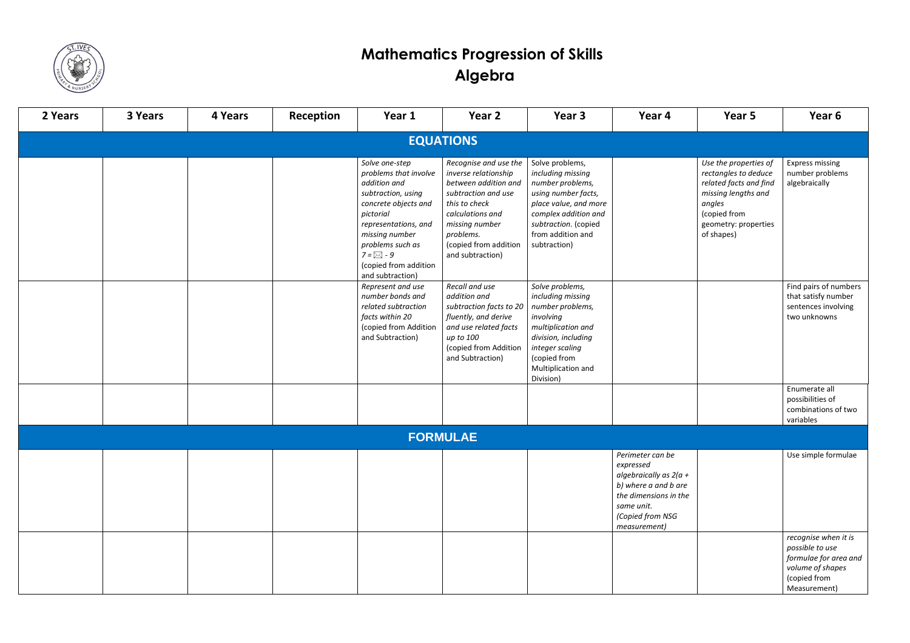

## **Mathematics Progression of Skills Algebra**

| 2 Years          | 3 Years | 4 Years | Reception | Year 1                                                                                                                                                                                                                                               | Year 2                                                                                                                                                                                                        | Year 3                                                                                                                                                                                        | Year 4                                                                                                                                                       | Year 5                                                                                                                                                         | Year 6                                                                                                               |  |  |  |
|------------------|---------|---------|-----------|------------------------------------------------------------------------------------------------------------------------------------------------------------------------------------------------------------------------------------------------------|---------------------------------------------------------------------------------------------------------------------------------------------------------------------------------------------------------------|-----------------------------------------------------------------------------------------------------------------------------------------------------------------------------------------------|--------------------------------------------------------------------------------------------------------------------------------------------------------------|----------------------------------------------------------------------------------------------------------------------------------------------------------------|----------------------------------------------------------------------------------------------------------------------|--|--|--|
| <b>EQUATIONS</b> |         |         |           |                                                                                                                                                                                                                                                      |                                                                                                                                                                                                               |                                                                                                                                                                                               |                                                                                                                                                              |                                                                                                                                                                |                                                                                                                      |  |  |  |
|                  |         |         |           | Solve one-step<br>problems that involve<br>addition and<br>subtraction, using<br>concrete objects and<br>pictorial<br>representations, and<br>missing number<br>problems such as<br>$7 = \boxtimes - 9$<br>(copied from addition<br>and subtraction) | Recognise and use the<br>inverse relationship<br>between addition and<br>subtraction and use<br>this to check<br>calculations and<br>missing number<br>problems.<br>(copied from addition<br>and subtraction) | Solve problems,<br>including missing<br>number problems,<br>using number facts,<br>place value, and more<br>complex addition and<br>subtraction. (copied<br>from addition and<br>subtraction) |                                                                                                                                                              | Use the properties of<br>rectangles to deduce<br>related facts and find<br>missing lengths and<br>angles<br>(copied from<br>geometry: properties<br>of shapes) | <b>Express missing</b><br>number problems<br>algebraically                                                           |  |  |  |
|                  |         |         |           | Represent and use<br>number bonds and<br>related subtraction<br>facts within 20<br>(copied from Addition<br>and Subtraction)                                                                                                                         | Recall and use<br>addition and<br>subtraction facts to 20<br>fluently, and derive<br>and use related facts<br>up to 100<br>(copied from Addition<br>and Subtraction)                                          | Solve problems,<br>including missing<br>number problems,<br>involving<br>multiplication and<br>division, including<br>integer scaling<br>(copied from<br>Multiplication and<br>Division)      |                                                                                                                                                              |                                                                                                                                                                | Find pairs of numbers<br>that satisfy number<br>sentences involving<br>two unknowns                                  |  |  |  |
|                  |         |         |           |                                                                                                                                                                                                                                                      |                                                                                                                                                                                                               |                                                                                                                                                                                               |                                                                                                                                                              |                                                                                                                                                                | Enumerate all<br>possibilities of<br>combinations of two<br>variables                                                |  |  |  |
| <b>FORMULAE</b>  |         |         |           |                                                                                                                                                                                                                                                      |                                                                                                                                                                                                               |                                                                                                                                                                                               |                                                                                                                                                              |                                                                                                                                                                |                                                                                                                      |  |  |  |
|                  |         |         |           |                                                                                                                                                                                                                                                      |                                                                                                                                                                                                               |                                                                                                                                                                                               | Perimeter can be<br>expressed<br>algebraically as $2(a +$<br>b) where a and b are<br>the dimensions in the<br>same unit.<br>(Copied from NSG<br>measurement) |                                                                                                                                                                | Use simple formulae                                                                                                  |  |  |  |
|                  |         |         |           |                                                                                                                                                                                                                                                      |                                                                                                                                                                                                               |                                                                                                                                                                                               |                                                                                                                                                              |                                                                                                                                                                | recognise when it is<br>possible to use<br>formulae for area and<br>volume of shapes<br>(copied from<br>Measurement) |  |  |  |